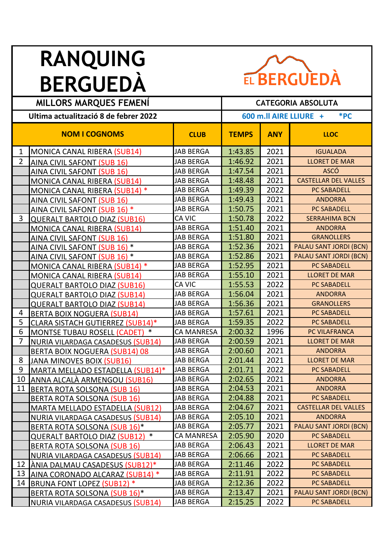

| <b>MILLORS MARQUES FEMENI</b>         |                                        |                   | <b>CATEGORIA ABSOLUTA</b> |            |                             |  |
|---------------------------------------|----------------------------------------|-------------------|---------------------------|------------|-----------------------------|--|
|                                       |                                        |                   |                           |            |                             |  |
| Ultima actualització 8 de febrer 2022 |                                        |                   | 600 m.ll AIRE LLIURE +    |            | *PC                         |  |
|                                       | <b>NOM I COGNOMS</b>                   | <b>CLUB</b>       | <b>TEMPS</b>              | <b>ANY</b> | <b>LLOC</b>                 |  |
| $\mathbf{1}$                          | <b>MONICA CANAL RIBERA (SUB14)</b>     | <b>JAB BERGA</b>  | 1:43.85                   | 2021       | <b>IGUALADA</b>             |  |
| $\overline{2}$                        | AINA CIVIL SAFONT (SUB 16)             | <b>JAB BERGA</b>  | 1:46.92                   | 2021       | <b>LLORET DE MAR</b>        |  |
|                                       | AINA CIVIL SAFONT (SUB 16)             | <b>JAB BERGA</b>  | 1:47.54                   | 2021       | <b>ASCÓ</b>                 |  |
|                                       | <b>MONICA CANAL RIBERA (SUB14)</b>     | <b>JAB BERGA</b>  | 1:48.48                   | 2021       | <b>CASTELLAR DEL VALLES</b> |  |
|                                       | MONICA CANAL RIBERA (SUB14) *          | <b>JAB BERGA</b>  | 1:49.39                   | 2022       | <b>PC SABADELL</b>          |  |
|                                       | <b>AINA CIVIL SAFONT (SUB 16)</b>      | <b>JAB BERGA</b>  | 1:49.43                   | 2021       | <b>ANDORRA</b>              |  |
|                                       | AINA CIVIL SAFONT (SUB 16) *           | <b>JAB BERGA</b>  | 1:50.75                   | 2021       | <b>PC SABADELL</b>          |  |
| 3                                     | <b>QUERALT BARTOLO DIAZ (SUB16)</b>    | CA VIC            | 1:50.78                   | 2022       | <b>SERRAHIMA BCN</b>        |  |
|                                       | <b>MONICA CANAL RIBERA (SUB14)</b>     | <b>JAB BERGA</b>  | 1:51.40                   | 2021       | <b>ANDORRA</b>              |  |
|                                       | AINA CIVIL SAFONT (SUB 16)             | <b>JAB BERGA</b>  | 1:51.80                   | 2021       | <b>GRANOLLERS</b>           |  |
|                                       | AINA CIVIL SAFONT (SUB 16) *           | <b>JAB BERGA</b>  | 1:52.36                   | 2021       | PALAU SANT JORDI (BCN)      |  |
|                                       | AINA CIVIL SAFONT (SUB 16) *           | <b>JAB BERGA</b>  | 1:52.86                   | 2021       | PALAU SANT JORDI (BCN)      |  |
|                                       | MONICA CANAL RIBERA (SUB14) *          | <b>JAB BERGA</b>  | 1:52.95                   | 2021       | <b>PC SABADELL</b>          |  |
|                                       | <b>MONICA CANAL RIBERA (SUB14)</b>     | <b>JAB BERGA</b>  | 1:55.10                   | 2021       | <b>LLORET DE MAR</b>        |  |
|                                       | <b>QUERALT BARTOLO DIAZ (SUB16)</b>    | CA VIC            | 1:55.53                   | 2022       | <b>PC SABADELL</b>          |  |
|                                       | <b>QUERALT BARTOLO DIAZ (SUB14)</b>    | <b>JAB BERGA</b>  | 1:56.04                   | 2021       | <b>ANDORRA</b>              |  |
|                                       | <b>QUERALT BARTOLO DIAZ (SUB14)</b>    | <b>JAB BERGA</b>  | 1:56.36                   | 2021       | <b>GRANOLLERS</b>           |  |
| 4                                     | <b>BERTA BOIX NOGUERA (SUB14)</b>      | <b>JAB BERGA</b>  | 1:57.61                   | 2021       | <b>PC SABADELL</b>          |  |
| 5                                     | CLARA SISTACH GUTIERREZ (SUB14)*       | <b>JAB BERGA</b>  | 1:59.35                   | 2022       | <b>PC SABADELL</b>          |  |
| 6                                     | MONTSE TUBAU ROSELL (CADET) *          | <b>CA MANRESA</b> | 2:00.32                   | 1996       | PC VILAFRANCA               |  |
| 7                                     | NURIA VILARDAGA CASADESUS (SUB14)      | <b>JAB BERGA</b>  | 2:00.59                   | 2021       | <b>LLORET DE MAR</b>        |  |
|                                       | BERTA BOIX NOGUERA (SUB14) 08          | <b>JAB BERGA</b>  | 2:00.60                   | 2021       | <b>ANDORRA</b>              |  |
| 8                                     | <b>JANA MINOVES BOIX (SUB16)</b>       | <b>JAB BERGA</b>  | 2:01.44                   | 2021       | <b>LLORET DE MAR</b>        |  |
| 9                                     | MARTA MELLADO ESTADELLA (SUB14)*       | <b>JAB BERGA</b>  | 2:01.71                   | 2022       | <b>PC SABADELL</b>          |  |
| 10                                    | ANNA ALCALÀ ARMENGOU (SUB16)           | <b>JAB BERGA</b>  | 2:02.65                   | 2021       | <b>ANDORRA</b>              |  |
|                                       | 11 BERTA ROTA SOLSONA (SUB 16)         | JAB BERGA         | 2:04.53                   | 2021       | <b>ANDORRA</b>              |  |
|                                       | <b>BERTA ROTA SOLSONA (SUB 16)</b>     | <b>JAB BERGA</b>  | 2:04.88                   | 2021       | PC SABADELL                 |  |
|                                       | <b>MARTA MELLADO ESTADELLA (SUB12)</b> | JAB BERGA         | 2:04.67                   | 2021       | <b>CASTELLAR DEL VALLES</b> |  |
|                                       | NURIA VILARDAGA CASADESUS (SUB14)      | <b>JAB BERGA</b>  | 2:05.10                   | 2021       | <b>ANDORRA</b>              |  |
|                                       | BERTA ROTA SOLSONA (SUB 16)*           | JAB BERGA         | 2:05.77                   | 2021       | PALAU SANT JORDI (BCN)      |  |
|                                       | QUERALT BARTOLO DIAZ (SUB12) *         | <b>CA MANRESA</b> | 2:05.90                   | 2020       | PC SABADELL                 |  |
|                                       | <b>BERTA ROTA SOLSONA (SUB 16)</b>     | JAB BERGA         | 2:06.43                   | 2021       | <b>LLORET DE MAR</b>        |  |
|                                       | NURIA VILARDAGA CASADESUS (SUB14)      | JAB BERGA         | 2:06.66                   | 2021       | PC SABADELL                 |  |
|                                       | 12 ANIA DALMAU CASADESUS (SUB12)*      | JAB BERGA         | 2:11.46                   | 2022       | PC SABADELL                 |  |
| 13                                    | AINA CORONADO ALCARAZ (SUB14) *        | <b>JAB BERGA</b>  | 2:11.91                   | 2022       | PC SABADELL                 |  |
| 14                                    | BRUNA FONT LOPEZ (SUB12) *             | <b>JAB BERGA</b>  | 2:12.36                   | 2022       | PC SABADELL                 |  |
|                                       | BERTA ROTA SOLSONA (SUB 16)*           | JAB BERGA         | 2:13.47                   | 2021       | PALAU SANT JORDI (BCN)      |  |
|                                       | NURIA VILARDAGA CASADESUS (SUB14)      | JAB BERGA         | 2:15.25                   | 2022       | PC SABADELL                 |  |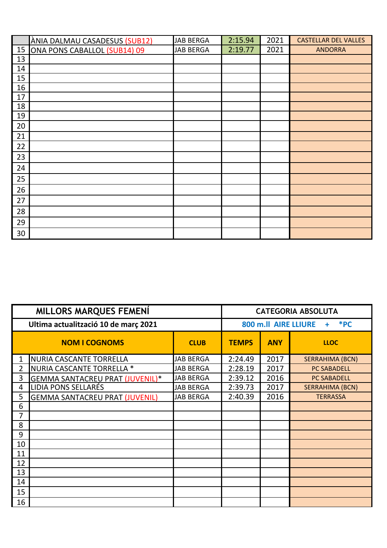|    | ÀNIA DALMAU CASADESUS (SUB12) | <b>JAB BERGA</b> | 2:15.94 | 2021 | <b>CASTELLAR DEL VALLES</b> |
|----|-------------------------------|------------------|---------|------|-----------------------------|
| 15 | ONA PONS CABALLOL (SUB14) 09  | <b>JAB BERGA</b> | 2:19.77 | 2021 | <b>ANDORRA</b>              |
| 13 |                               |                  |         |      |                             |
| 14 |                               |                  |         |      |                             |
| 15 |                               |                  |         |      |                             |
| 16 |                               |                  |         |      |                             |
| 17 |                               |                  |         |      |                             |
| 18 |                               |                  |         |      |                             |
| 19 |                               |                  |         |      |                             |
| 20 |                               |                  |         |      |                             |
| 21 |                               |                  |         |      |                             |
| 22 |                               |                  |         |      |                             |
| 23 |                               |                  |         |      |                             |
| 24 |                               |                  |         |      |                             |
| 25 |                               |                  |         |      |                             |
| 26 |                               |                  |         |      |                             |
| 27 |                               |                  |         |      |                             |
| 28 |                               |                  |         |      |                             |
| 29 |                               |                  |         |      |                             |
| 30 |                               |                  |         |      |                             |

| <b>MILLORS MARQUES FEMENÍ</b>        |                                        |                  | <b>CATEGORIA ABSOLUTA</b> |                                    |                        |  |
|--------------------------------------|----------------------------------------|------------------|---------------------------|------------------------------------|------------------------|--|
| Ultima actualització 10 de març 2021 |                                        |                  |                           | $*PC$<br>800 m.ll AIRE LLIURE<br>٠ |                        |  |
|                                      | <b>NOM I COGNOMS</b>                   | <b>CLUB</b>      | <b>TEMPS</b>              | <b>ANY</b>                         | <b>LLOC</b>            |  |
| 1                                    | <b>NURIA CASCANTE TORRELLA</b>         | <b>JAB BERGA</b> | 2:24.49                   | 2017                               | <b>SERRAHIMA (BCN)</b> |  |
| $\overline{2}$                       | NURIA CASCANTE TORRELLA *              | <b>JAB BERGA</b> | 2:28.19                   | 2017                               | <b>PC SABADELL</b>     |  |
| 3                                    | <b>GEMMA SANTACREU PRAT (JUVENIL)*</b> | <b>JAB BERGA</b> | 2:39.12                   | 2016                               | <b>PC SABADELL</b>     |  |
| 4                                    | LIDIA PONS SELLARÉS                    | <b>JAB BERGA</b> | 2:39.73                   | 2017                               | <b>SERRAHIMA (BCN)</b> |  |
| 5                                    | <b>GEMMA SANTACREU PRAT (JUVENIL)</b>  | <b>JAB BERGA</b> | 2:40.39                   | 2016                               | <b>TERRASSA</b>        |  |
| 6                                    |                                        |                  |                           |                                    |                        |  |
| 7                                    |                                        |                  |                           |                                    |                        |  |
| 8                                    |                                        |                  |                           |                                    |                        |  |
| 9                                    |                                        |                  |                           |                                    |                        |  |
| 10                                   |                                        |                  |                           |                                    |                        |  |
| 11                                   |                                        |                  |                           |                                    |                        |  |
| 12                                   |                                        |                  |                           |                                    |                        |  |
| 13                                   |                                        |                  |                           |                                    |                        |  |
| 14                                   |                                        |                  |                           |                                    |                        |  |
| 15                                   |                                        |                  |                           |                                    |                        |  |
| 16                                   |                                        |                  |                           |                                    |                        |  |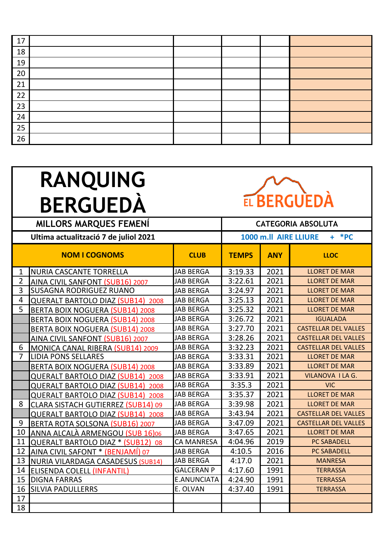| 17 |  |  |  |
|----|--|--|--|
| 18 |  |  |  |
| 19 |  |  |  |
| 20 |  |  |  |
| 21 |  |  |  |
| 22 |  |  |  |
| 23 |  |  |  |
| 24 |  |  |  |
| 25 |  |  |  |
| 26 |  |  |  |



| <b>MILLORS MARQUES FEMENÍ</b> |                                           |                    |                                  | <b>CATEGORIA ABSOLUTA</b> |                             |  |
|-------------------------------|-------------------------------------------|--------------------|----------------------------------|---------------------------|-----------------------------|--|
|                               | Ultima actualització 7 de juliol 2021     |                    | $+$ *PC<br>1000 m.ll AIRE LLIURE |                           |                             |  |
|                               | <b>NOM I COGNOMS</b>                      | <b>CLUB</b>        | <b>TEMPS</b>                     | <b>ANY</b>                | <b>LLOC</b>                 |  |
| $\mathbf{1}$                  | NURIA CASCANTE TORRELLA                   | <b>JAB BERGA</b>   | 3:19.33                          | 2021                      | <b>LLORET DE MAR</b>        |  |
| $\overline{2}$                | AINA CIVIL SANFONT (SUB16) 2007           | <b>JAB BERGA</b>   | 3:22.61                          | 2021                      | <b>LLORET DE MAR</b>        |  |
| $\overline{3}$                | <b>SUSAGNA RODRIGUEZ RUANO</b>            | <b>JAB BERGA</b>   | 3:24.97                          | 2021                      | <b>LLORET DE MAR</b>        |  |
| $\overline{4}$                | <b>QUERALT BARTOLO DIAZ (SUB14) 2008</b>  | <b>JAB BERGA</b>   | 3:25.13                          | 2021                      | <b>LLORET DE MAR</b>        |  |
| 5                             | <b>BERTA BOIX NOGUERA (SUB14) 2008</b>    | <b>JAB BERGA</b>   | 3:25.32                          | 2021                      | <b>LLORET DE MAR</b>        |  |
|                               | <b>BERTA BOIX NOGUERA (SUB14) 2008</b>    | <b>JAB BERGA</b>   | 3:26.72                          | 2021                      | <b>IGUALADA</b>             |  |
|                               | <b>BERTA BOIX NOGUERA (SUB14) 2008</b>    | <b>JAB BERGA</b>   | 3:27.70                          | 2021                      | <b>CASTELLAR DEL VALLES</b> |  |
|                               | AINA CIVIL SANFONT (SUB16) 2007           | <b>JAB BERGA</b>   | 3:28.26                          | 2021                      | <b>CASTELLAR DEL VALLES</b> |  |
| 6                             | MONICA CANAL RIBERA (SUB14) 2009          | <b>JAB BERGA</b>   | 3:32.23                          | 2021                      | <b>CASTELLAR DEL VALLES</b> |  |
| $\overline{7}$                | <b>LIDIA PONS SELLARES</b>                | <b>JAB BERGA</b>   | 3:33.31                          | 2021                      | <b>LLORET DE MAR</b>        |  |
|                               | <b>BERTA BOIX NOGUERA (SUB14) 2008</b>    | <b>JAB BERGA</b>   | 3:33.89                          | 2021                      | <b>LLORET DE MAR</b>        |  |
|                               | <b>QUERALT BARTOLO DIAZ (SUB14) 2008</b>  | <b>JAB BERGA</b>   | 3:33.91                          | 2021                      | <b>VILANOVA I LA G.</b>     |  |
|                               | <b>QUERALT BARTOLO DIAZ (SUB14) 2008</b>  | <b>JAB BERGA</b>   | 3:35.3                           | 2021                      | <b>VIC</b>                  |  |
|                               | <b>QUERALT BARTOLO DIAZ (SUB14) 2008</b>  | <b>JAB BERGA</b>   | 3:35.37                          | 2021                      | <b>LLORET DE MAR</b>        |  |
| 8                             | <b>CLARA SISTACH GUTIERREZ (SUB14) 09</b> | <b>JAB BERGA</b>   | 3:39.98                          | 2021                      | <b>LLORET DE MAR</b>        |  |
|                               | <b>QUERALT BARTOLO DIAZ (SUB14) 2008</b>  | <b>JAB BERGA</b>   | 3:43.94                          | 2021                      | <b>CASTELLAR DEL VALLES</b> |  |
| 9                             | BERTA ROTA SOLSONA (SUB16) 2007           | <b>JAB BERGA</b>   | 3:47.09                          | 2021                      | <b>CASTELLAR DEL VALLES</b> |  |
| 10                            | ANNA ALCALÀ ARMENGOU (SUB 16)06           | <b>JAB BERGA</b>   | 3:47.65                          | 2021                      | <b>LLORET DE MAR</b>        |  |
| 11                            | QUERALT BARTOLO DIAZ * (SUB12) 08         | <b>CA MANRESA</b>  | 4:04.96                          | 2019                      | <b>PC SABADELL</b>          |  |
| 12                            | AINA CIVIL SAFONT * (BENJAMÍ) 07          | <b>JAB BERGA</b>   | 4:10.5                           | 2016                      | <b>PC SABADELL</b>          |  |
| 13                            | NURIA VILARDAGA CASADESUS (SUB14)         | <b>JAB BERGA</b>   | 4:17.0                           | 2021                      | <b>MANRESA</b>              |  |
| 14                            | <b>ELISENDA COLELL (INFANTIL)</b>         | <b>GALCERAN P</b>  | 4:17.60                          | 1991                      | <b>TERRASSA</b>             |  |
| 15                            | <b>DIGNA FARRAS</b>                       | <b>E.ANUNCIATA</b> | 4:24.90                          | 1991                      | <b>TERRASSA</b>             |  |
| 16                            | <b>SILVIA PADULLERRS</b>                  | E. OLVAN           | 4:37.40                          | 1991                      | <b>TERRASSA</b>             |  |
| 17                            |                                           |                    |                                  |                           |                             |  |
| 18                            |                                           |                    |                                  |                           |                             |  |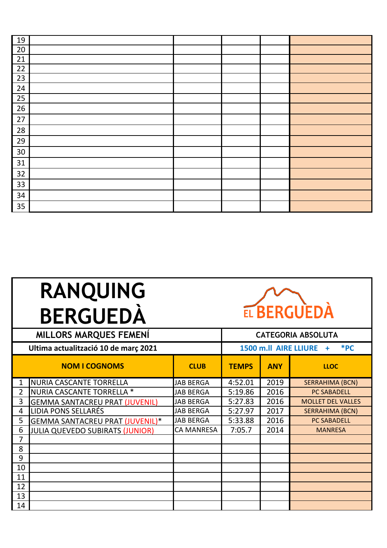| 19 |  |  |  |
|----|--|--|--|
| 20 |  |  |  |
| 21 |  |  |  |
| 22 |  |  |  |
| 23 |  |  |  |
| 24 |  |  |  |
| 25 |  |  |  |
| 26 |  |  |  |
| 27 |  |  |  |
| 28 |  |  |  |
| 29 |  |  |  |
| 30 |  |  |  |
| 31 |  |  |  |
| 32 |  |  |  |
| 33 |  |  |  |
| 34 |  |  |  |
| 35 |  |  |  |



| <b>MILLORS MARQUES FEMENÍ</b> |                                        |                   | <b>CATEGORIA ABSOLUTA</b> |                                   |                          |  |
|-------------------------------|----------------------------------------|-------------------|---------------------------|-----------------------------------|--------------------------|--|
|                               | Ultima actualització 10 de març 2021   |                   |                           | 1500 m.ll AIRE LLIURE<br>*PC<br>÷ |                          |  |
|                               | <b>NOM I COGNOMS</b>                   | <b>CLUB</b>       | <b>TEMPS</b>              | <b>ANY</b>                        | <b>LLOC</b>              |  |
| $\mathbf{1}$                  | <b>NURIA CASCANTE TORRELLA</b>         | <b>JAB BERGA</b>  | 4:52.01                   | 2019                              | <b>SERRAHIMA (BCN)</b>   |  |
| $\overline{2}$                | NURIA CASCANTE TORRELLA *              | <b>JAB BERGA</b>  | 5:19.86                   | 2016                              | <b>PC SABADELL</b>       |  |
| 3                             | <b>GEMMA SANTACREU PRAT (JUVENIL)</b>  | <b>JAB BERGA</b>  | 5:27.83                   | 2016                              | <b>MOLLET DEL VALLES</b> |  |
| 4                             | <b>LIDIA PONS SELLARÉS</b>             | JAB BERGA         | 5:27.97                   | 2017                              | <b>SERRAHIMA (BCN)</b>   |  |
| 5                             | GEMMA SANTACREU PRAT (JUVENIL)*        | <b>JAB BERGA</b>  | 5:33.88                   | 2016                              | <b>PC SABADELL</b>       |  |
| 6                             | <b>JULIA QUEVEDO SUBIRATS (JUNIOR)</b> | <b>CA MANRESA</b> | 7:05.7                    | 2014                              | <b>MANRESA</b>           |  |
| 7                             |                                        |                   |                           |                                   |                          |  |
| 8                             |                                        |                   |                           |                                   |                          |  |
| 9                             |                                        |                   |                           |                                   |                          |  |
| 10                            |                                        |                   |                           |                                   |                          |  |
| 11                            |                                        |                   |                           |                                   |                          |  |
| 12                            |                                        |                   |                           |                                   |                          |  |
| 13                            |                                        |                   |                           |                                   |                          |  |
| 14                            |                                        |                   |                           |                                   |                          |  |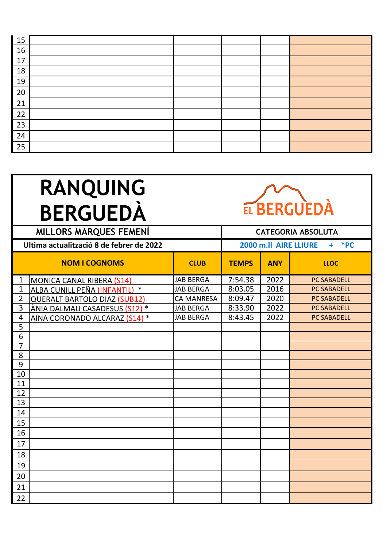| 15 |  |  |  |
|----|--|--|--|
| 16 |  |  |  |
| 17 |  |  |  |
| 18 |  |  |  |
| 19 |  |  |  |
| 20 |  |  |  |
| 21 |  |  |  |
| 22 |  |  |  |
| 23 |  |  |  |
| 24 |  |  |  |
| 25 |  |  |  |



| <b>MILLORS MARQUES FEMENÍ</b> |                                          |                   | <b>CATEGORIA ABSOLUTA</b>             |            |                    |  |  |
|-------------------------------|------------------------------------------|-------------------|---------------------------------------|------------|--------------------|--|--|
|                               | Ultima actualització 8 de febrer de 2022 |                   | 2000 m.ll AIRE LLIURE<br>$*PC$<br>$+$ |            |                    |  |  |
|                               | <b>NOM I COGNOMS</b>                     | <b>CLUB</b>       | <b>TEMPS</b>                          | <b>ANY</b> | <b>LLOC</b>        |  |  |
| $\mathbf{1}$                  | MONICA CANAL RIBERA (S14)                | <b>JAB BERGA</b>  | 7:54.38                               | 2022       | <b>PC SABADELL</b> |  |  |
| 1                             | ALBA CUNILL PEÑA (INFANTIL) *            | <b>JAB BERGA</b>  | 8:03.05                               | 2016       | <b>PC SABADELL</b> |  |  |
| $\overline{2}$                | <b>QUERALT BARTOLO DIAZ (SUB12)</b>      | <b>CA MANRESA</b> | 8:09.47                               | 2020       | <b>PC SABADELL</b> |  |  |
| 3                             | ÀNIA DALMAU CASADESUS (S12) *            | <b>JAB BERGA</b>  | 8:33.90                               | 2022       | <b>PC SABADELL</b> |  |  |
| 4                             | AINA CORONADO ALCARAZ (S14) *            | <b>JAB BERGA</b>  | 8:43.45                               | 2022       | <b>PC SABADELL</b> |  |  |
| 5                             |                                          |                   |                                       |            |                    |  |  |
| 6                             |                                          |                   |                                       |            |                    |  |  |
| $\overline{7}$                |                                          |                   |                                       |            |                    |  |  |
| 8                             |                                          |                   |                                       |            |                    |  |  |
| 9                             |                                          |                   |                                       |            |                    |  |  |
| 10                            |                                          |                   |                                       |            |                    |  |  |
| 11                            |                                          |                   |                                       |            |                    |  |  |
| 12                            |                                          |                   |                                       |            |                    |  |  |
| 13                            |                                          |                   |                                       |            |                    |  |  |
| 14                            |                                          |                   |                                       |            |                    |  |  |
| 15                            |                                          |                   |                                       |            |                    |  |  |
| 16                            |                                          |                   |                                       |            |                    |  |  |
| 17                            |                                          |                   |                                       |            |                    |  |  |
| 18                            |                                          |                   |                                       |            |                    |  |  |
| 19                            |                                          |                   |                                       |            |                    |  |  |
| 20                            |                                          |                   |                                       |            |                    |  |  |
| 21                            |                                          |                   |                                       |            |                    |  |  |
| 22                            |                                          |                   |                                       |            |                    |  |  |